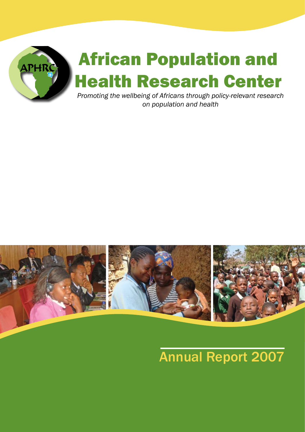



# Annual Report 2007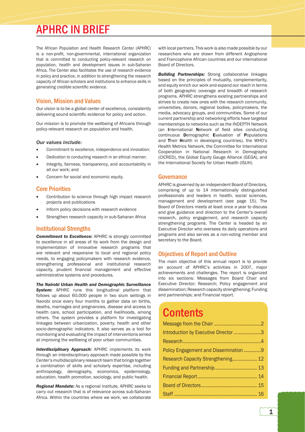## APHRC IN BRIEF

The African Population and Health Research Center (APHRC) is a non-profit, non-governmental, international organization that is committed to conducting policy-relevant research on population, health and development issues in sub-Saharan Africa. The Center also facilitates the use of research evidence in policy and practice, in addition to strengthening the research capacity of African scholars and institutions to enhance skills in generating credible scientific evidence.

#### Vision, Mission and Values

Our *vision* is to be a global center of excellence, consistently delivering sound scientific evidence for policy and action.

Our *mission* is to promote the wellbeing of Africans through policy-relevant research on population and health.

#### *Our values include:*

- Commitment to excellence, independence and innovation;
- Dedication to conducting research in an ethical manner;
- Integrity, fairness, transparency, and accountability in all our work; and
- Concern for social and economic equity.

#### Core Priorities

- Contribution to science through high impact research projects and publications
- Inform policy decisions with research evidence
- Strengthen research capacity in sub-Saharan Africa

#### Institutional Strengths

*Commitment to Excellence:* APHRC is strongly committed to excellence in all areas of its work from the design and implementation of innovative research programs that are relevant and responsive to local and regional policy needs, to engaging policymakers with research evidence, strengthening professional and institutional research capacity, prudent financial management and effective administrative systems and procedures.

*The Nairobi Urban Health and Demographic Surveillance*  **System:** APHRC runs this longitudinal platform that follows up about 60,000 people in two slum settings in Nairobi once every four months to gather data on births, deaths, marriages and pregnancies, disease and access to health care, school participation, and livelihoods, among others. The system provides a platform for investigating linkages between urbanization, poverty, health and other socio-demographic indicators. It also serves as a tool for monitoring and evaluating the impact of interventions aimed at improving the wellbeing of poor urban communities.

*Interdisciplinary Approach:* APHRC implements its work through an interdisciplinary approach made possible by the Center's multidisciplinary research team that brings together a combination of skills and scholarly expertise, including anthropology, demography, economics, epidemiology, education, health promotion, sociology, and public health.

*Regional Mandate:* As a regional institute, APHRC seeks to carry out research that is of relevance across sub-Saharan Africa. Within the countries where we work, we collaborate

with local partners. This work is also made possible by our researchers who are drawn from different Anglophone and Francophone African countries and our international Board of Directors.

*Building Partnerships:* Strong collaborative linkages based on the principles of mutuality, complementarity, and equity enrich our work and expand our reach in terms of both geographic coverage and breadth of research programs. APHRC strengthens existing partnerships and strives to create new ones with the research community, universities, donors, regional bodies, policymakers, the media, advocacy groups, and communities. Some of our current partnership and networking efforts have targeted memberships to networks such as the INDEPTH Network (an International Network of field sites conducting continuous Demographic Evaluation of Populations and Their Health in developing countries), the WHO's Health Metrics Network, the Committee for International Cooperation in National Research in Demography (CICRED), the Global Equity Gauge Alliance (GEGA), and the International Society for Urban Health (ISUH).

#### **Governance**

APHRC is governed by an independent Board of Directors, comprising of up to 14 internationally distinguished professionals and leaders in health, social sciences, management and development (see page 15). The Board of Directors meets at least once a year to discuss and give guidance and direction to the Center's overall research, policy engagement, and research capacity strengthening programs. The Center is headed by an Executive Director who oversees its daily operations and programs and also serves as a non-voting member and secretary to the Board.

#### Objectives of Report and Outline

The main objective of this annual report is to provide an account of APHRC's activities in 2007, major achievements and challenges. The report is organized into six sections: Messages from Board Chair and Executive Director; Research; Policy engagement and dissemination; Research capacity strengthening; Funding and partnerships; and Financial report.

## **Contents**

| Introduction by Executive Director 3 |  |
|--------------------------------------|--|
|                                      |  |
| Policy Engagement and Dissemination9 |  |
| Research Capacity Strengthening 12   |  |
|                                      |  |
|                                      |  |
|                                      |  |
|                                      |  |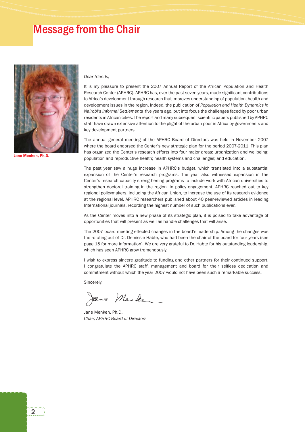### Message from the Chair



Jane Menken, Ph.D.

#### *Dear friends,*

It is my pleasure to present the 2007 Annual Report of the African Population and Health Research Center (APHRC). APHRC has, over the past seven years, made significant contributions to Africa's development through research that improves understanding of population, health and development issues in the region. Indeed, the publication of *Population and Health Dynamics in Nairobi's Informal Settlements* five years ago, put into focus the challenges faced by poor urban residents in African cities. The report and many subsequent scientific papers published by APHRC staff have drawn extensive attention to the plight of the urban poor in Africa by governments and key development partners.

The annual general meeting of the APHRC Board of Directors was held in November 2007 where the board endorsed the Center's new strategic plan for the period 2007-2011. This plan has organized the Center's research efforts into four major areas: urbanization and wellbeing; population and reproductive health; health systems and challenges; and education.

The past year saw a huge increase in APHRC's budget, which translated into a substantial expansion of the Center's research programs. The year also witnessed expansion in the Center's research capacity strengthening programs to include work with African universities to strengthen doctoral training in the region. In policy engagement, APHRC reached out to key regional policymakers, including the African Union, to increase the use of its research evidence at the regional level. APHRC researchers published about 40 peer-reviewed articles in leading International journals, recording the highest number of such publications ever.

As the Center moves into a new phase of its strategic plan, it is poised to take advantage of opportunities that will present as well as handle challenges that will arise.

The 2007 board meeting effected changes in the board's leadership. Among the changes was the rotating out of Dr. Demissie Habte, who had been the chair of the board for four years (see page 15 for more information). We are very grateful to Dr. Habte for his outstanding leadership, which has seen APHRC grow tremendously.

I wish to express sincere gratitude to funding and other partners for their continued support. I congratulate the APHRC staff, management and board for their selfless dedication and commitment without which the year 2007 would not have been such a remarkable success.

Sincerely,

Jane Menke

Jane Menken, Ph.D. *Chair, APHRC Board of Directors*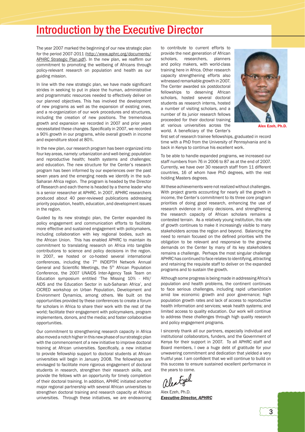### Introduction by the Executive Director

The year 2007 marked the beginning of our new strategic plan for the period 2007-2011 (http://www.aphrc.org/documents/ APHRC Strategic Plan.pdf). In the new plan, we reaffirm our commitment to promoting the wellbeing of Africans through policy-relevant research on population and health as our guiding mission.

In line with the new strategic plan, we have made significant strides in seeking to put in place the human, administrative and programmatic resources needed to effectively deliver on our planned objectives. This has involved the development of new programs as well as the expansion of existing ones, and a re-organization of our work procedures and structures, including the creation of new positions. The tremendous growth and expansion we recorded in 2007 and prior years necessitated these changes. Specifically in 2007, we recorded a 90% growth in our programs, while overall growth in income and expenditure stood at 80%.

In the new plan, our research program has been organized into four key areas, namely: urbanization and well-being; population and reproductive health; health systems and challenges; and education. The new structure for the Center's research program has been informed by our experiences over the past seven years and the emerging needs we identify in the sub-Saharan Africa region. The program is headed by the Director of Research and each theme is headed by a theme leader who is a senior researcher at APHRC. In 2007, APHRC researchers produced about 40 peer-reviewed publications addressing priority population, health, education, and development issues in the region.

Guided by its new strategic plan, the Center expanded its policy engagement and communication efforts to facilitate more effective and sustained engagement with policymakers, including collaboration with key regional bodies, such as the African Union. This has enabled APHRC to maintain its commitment to translating research on Africa into tangible contributions to science and policy decisions in the region. In 2007, we hosted or co-hosted several international conferences, including the  $7<sup>th</sup>$  INDEPTH Network Annual General and Scientific Meetings, the 5<sup>th</sup> African Population Conference, the 2007 UNAIDS Inter-Agency Task Team on Education symposium entitled 'The Missing 10% - HIV/ AIDS and the Education Sector in sub-Saharan Africa', and CICRED workshop on Urban Population, Development and Environment Dynamics, among others. We built on the opportunities provided by these conferences to create a forum for scholars in Africa to share their work with the rest of the world; facilitate their engagement with policymakers, program implementers, donors, and the media; and foster collaborative opportunities.

Our commitment to strengthening research capacity in Africa also moved a notch higher in this new phase of our strategic plan with the commencement of a new initiative to improve doctoral training at African universities. Specifically, a new initiative to provide fellowship support to doctoral students at African universities will begin in January 2008. The fellowships are envisaged to facilitate more rigorous engagement of doctoral students in research, strengthen their research skills, and provide the fellows with an opportunity for timely completion of their doctoral training. In addition, APHRC initiated another major regional partnership with several African universities to strengthen doctoral training and research capacity at African universities. Through these initiatives, we are endeavoring

to contribute to current efforts to provide the next generation of African scholars, researchers, planners and policy makers, with world-class training here in Africa. Other research capacity strengthening efforts also witnessed remarkable growth in 2007. The Center awarded six postdoctoral fellowships to deserving African scholars, hosted several doctoral students as research interns, hosted a number of visiting scholars, and a number of its junior research fellows proceeded for their doctoral training at various universities across the world. A beneficiary of the Center's



Alex Ezeh, Ph.D.

first set of research trainee fellowships, graduated in record time with a PhD from the University of Pennsylvania and is back in Kenya to continue his excellent work.

To be able to handle expanded programs, we increased our staff numbers from 76 in 2006 to 87 as at the end of 2007. Currently, we have over 30 research staff from 11 different countries, 16 of whom have PhD degrees, with the rest holding Masters degrees.

All these achievements were not realized without challenges. With project grants accounting for nearly all the growth in income, the Center's commitment to its three core program priorities of doing good research, enhancing the use of research evidence in policy decisions, and strengthening the research capacity of African scholars remains a contested terrain. As a relatively young institution, this rate of growth continues to make it increasingly visible to many stakeholders across the region and beyond. Balancing the need to remain focused on the defined priorities with the obligation to be relevant and responsive to the growing demands on the Center by many of its key stakeholders remains a challenge. Perhaps the most singular challenge APHRC has continued to face relates to identifying, attracting and retaining the requisite staff to deliver on the expanded programs and to sustain the growth.

Although some progress is being made in addressing Africa's population and health problems, the continent continues to face serious challenges, including rapid urbanization amid low economic growth and poor governance; high population growth rates and lack of access to reproductive health information and services; weak health systems; and limited access to quality education. Our work will continue to address these challenges through high quality research and policy engagement programs.

I sincerely thank all our partners, especially individual and institutional collaborators, funders, and the Government of Kenya for their support in 2007. To all APHRC staff and Board members, I owe a huge debt of gratitude for your unwavering commitment and dedication that yielded a very fruitful year. I am confident that we will continue to build on this success to ensure sustained excellent performance in the years to come.

alextoch

Alex Ezeh, Ph.D. *Executive Director, APHRC*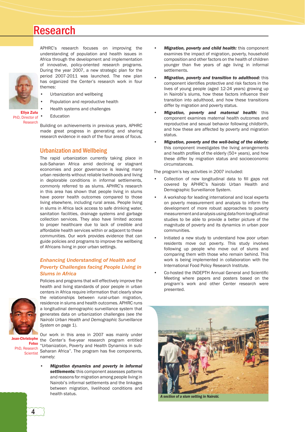

APHRC's research focuses on improving the understanding of population and health issues in Africa through the development and implementation of innovative, policy-oriented research programs. During the year 2007, a new strategic plan for the period 2007-2011 was launched. The new plan has organized the Center's research work in four themes:

- Urbanization and wellbeing
- Population and reproductive health
- Health systems and challenges

Eliya Zulu PhD, Director of Research

**Education** 

Building on achievements in previous years, APHRC made great progress in generating and sharing research evidence in each of the four areas of focus.

#### Urbanization and Wellbeing

The rapid urbanization currently taking place in sub-Saharan Africa amid declining or stagnant economies and poor governance is leaving many urban residents without reliable livelihoods and living in deplorable conditions in informal settlements, commonly referred to as slums. APHRC's research in this area has shown that people living in slums have poorer health outcomes compared to those living elsewhere, including rural areas. People living in slums in Africa lack access to safe drinking water, sanitation facilities, drainage systems and garbage collection services. They also have limited access to proper healthcare due to lack of credible and affordable health services within or adjacent to these communities. Our work provides evidence that can guide policies and programs to improve the wellbeing of Africans living in poor urban settings.

#### *Enhancing Understanding of Health and Poverty Challenges facing People Living in Slums in Africa*



Policies and programs that will effectively improve the health and living standards of poor people in urban centers in Africa require information that clearly show the relationships between rural-urban migration, residence in slums and health outcomes. APHRC runs a longitudinal demographic surveillance system that generates data on urbanization challenges (see *the Nairobi Urban Health and Demographic Surveillance*  System on page 1).

**Scientist** 

Our work in this area in 2007 was mainly under Jean-Christophe the Center's five-year research program entitled Fotso "Urbanization, Poverty and Health Dynamics in sub-PhD, Research Channelston, Policy and Houston Dynamics in Sale<br>
Scientist Saharan Africa". The program has five components, namely:

> • *Migration dynamics and poverty in informal settlements:* this component assesses patterns and reasons for migration among people living in Nairobi's informal settlements and the linkages between migration, livelihood conditions and health status.

- *Migration, poverty and child health:* this component examines the impact of migration, poverty, household composition and other factors on the health of children younger than five years of age living in informal settlements.
- *Migration, poverty and transition to adulthood:* this component identifies protective and risk factors in the lives of young people (aged 12-24 years) growing up in Nairobi's slums, how these factors influence their transition into adulthood, and how these transitions differ by migration and poverty status.
- *Migration, poverty and maternal health:* this component examines maternal health outcomes and reproductive and sexual behavior following childbirth, and how these are affected by poverty and migration status.
- *Migration, poverty and the well-being of the elderly:*  this component investigates the living arrangements and health profiles of the elderly (50+ years), and how these differ by migration status and socioeconomic circumstances.

The program's key activities in 2007 included:

- Collection of new longitudinal data to fill gaps not covered by APHRC's Nairobi Urban Health and Demographic Surveillance System.
- A workshop for leading international and local experts on poverty measurement and analysis to inform the development of more robust approaches to poverty measurement and analysis using data from longitudinal studies to be able to provide a better picture of the magnitude of poverty and its dynamics in urban poor communities.
- Initiated a new study to understand how poor urban residents move out poverty. This study involves following up people who move out of slums and comparing them with those who remain behind. This work is being implemented in collaboration with the International Food Policy Research Institute.
- Co-hosted the INDEPTH Annual General and Scientific Meeting where papers and posters based on the program's work and other Center research were presented.



*A section of a slum setting in Nairobi.*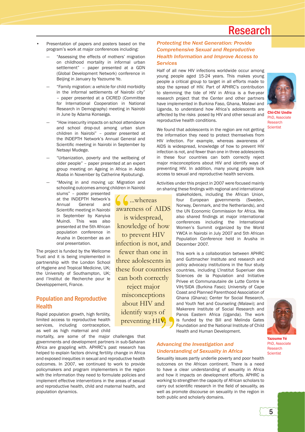- Presentation of papers and posters based on the program's work at major conferences including:
	- "Assessing the effects of mothers' migration on childhood mortality in informal urban settlement" – paper presented at a GDN (Global Development Network) conference in Beijing in January by Yazoume Ye.
	- "Family migration: a vehicle for child morbidity in the informal settlements of Nairobi city" – paper presented at a CICRED (Committee for International Cooperation in National Research in Demography) meeting in Nairobi in June by Adama Konseiga.
	- "How insecurity impacts on school attendance and school drop-out among urban slum children in Nairobi" – poster presented at the INDEPTH Network's Annual General and Scientific meeting in Nairobi in September by Netsayi Mudege.
	- "Urbanization, poverty and the wellbeing of older people" – paper presented at an expert group meeting on Ageing in Africa in Addis Ababa in November by Catherine Kyobutungi.
	- "Moving in and moving up: Migration and schooling outcomes among children in Nairobi
		- slums" poster presented at the INDEPTH Network's Annual General and Scientific meeting in Nairobi in September by Kanyiva Muindi. This was also presented at the 5th African population conference in Arusha in December as an oral presentation.

The project is funded by the Wellcome Trust and it is being implemented in partnership with the London School of Hygiene and Tropical Medicine, UK; the University of Southampton, UK; and l'Institut de Recherche pour le Developpement, France.

#### Population and Reproductive **Health**

Rapid population growth, high fertility, limited access to reproductive health services, including contraception, as well as high maternal and child

mortality, are some of the major challenges that governments and development partners in sub-Saharan Africa are grappling with. APHRC's past research has helped to explain factors driving fertility change in Africa and exposed inequities in sexual and reproductive health outcomes. In 2007, we continued to work to provide policymakers and program implementers in the region with the information they need to formulate policies and implement effective interventions in the areas of sexual and reproductive health, child and maternal health, and population dynamics.

...whereas awareness of AIDS is widespread, knowledge of how to prevent HIV infection is not, and fewer than one in three adolescents in these four countries can both correctly reject major misconceptions about HIV and identify ways of preventing HIV.

#### *Protecting the Next Generation: Provide Comprehensive Sexual and Reproductive Health Information and Improve Access to Services*

Half of all new HIV infections worldwide occur among young people aged 15-24 years. This makes young people a critical group to target in all efforts made to stop the spread of HIV. Part of APHRC's contribution to stemming the tide of HIV in Africa is a five-year research project that the Center and other partners have implemented in Burkina Faso, Ghana, Malawi and Uganda, to understand how Africa's adolescents are affected by the risks posed by HIV and other sexual and reproductive health conditions.



Chi-Chi Undie PhD, Associate Research **Scientist** 

We found that adolescents in the region are not getting the information they need to protect themselves from HIV infection. For example, whereas awareness of AIDS is widespread, knowledge of how to prevent HIV infection is not, and fewer than one in three adolescents in these four countries can both correctly reject major misconceptions about HIV and identify ways of preventing HIV. In addition, many young people lack access to sexual and reproductive health services.

Activities under this project in 2007 were focused mainly on sharing these findings with regional and international

> stakeholders, including the African Union, four European governments (Sweden, Norway, Denmark, and the Netherlands), and the UN Economic Commission for Africa. We also shared findings at major international conferences including the International Women's Summit organized by the World YWCA in Nairobi in July 2007 and 5th African Population Conference held in Arusha in December 2007.

> This work is a collaboration between APHRC and Guttmacher Institute and research and policy advocacy institutions in the four study countries, including L'Institut Superiuer des Sciences de la Population and Initiative Privee et Communautaire de Lutte Contre le VIH/SIDA (Burkina Faso); University of Cape Coast and Planned Parenthood Association of Ghana (Ghana); Center for Social Research, and Youth Net and Counseling (Malawi); and Makerere Institute of Social Research and Panos Eastern Africa (Uganda). The work is funded by the Bill and Melinda Gates Foundation and the National Institute of Child Health and Human Development.



*Advancing the Investigation and Understanding of Sexuality in Africa*

Sexuality issues partly underlie poverty and poor health outcomes on the African continent. There is a need to have a clear understanding of sexuality in Africa and how it impacts on development efforts. APHRC is working to strengthen the capacity of African scholars to carry out scientific research in the field of sexuality, as well as promote discourse on sexuality in the region in both public and scholarly domains.

Yazoume Yé PhD, Associate Research Scientist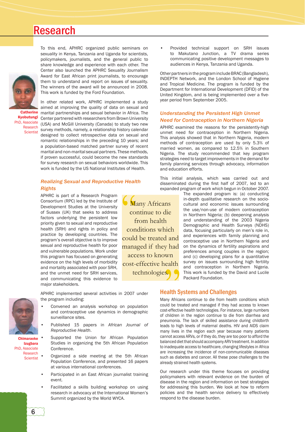

**Catherine** Kyobutungi PhD, Associate Research **Scientist** 

Center also launched the APHRC Sexuality Journalism Award for East African print journalists, to encourage them to understand and report on issues of sexuality. The winners of the award will be announced in 2008. This work is funded by the Ford Foundation. In other related work, APHRC implemented a study aimed at improving the quality of data on sexual and marital partnerships and sexual behavior in Africa. The Center partnered with researchers from Brown University

To this end, APHRC organized public seminars on sexuality in Kenya, Tanzania and Uganda for scientists, policymakers, journalists, and the general public to share knowledge and experience with each other. The

(USA) and McGill University (Canada) to study two new survey methods, namely, a relationship history calendar designed to collect retrospective data on sexual and romantic relationships in the preceding 10 years; and a population-based matched partner survey of recent marital and non-marital sexual partners. These methods, if proven successful, could become the new standards for survey research on sexual behaviors worldwide. This work is funded by the US National Institutes of Health.

#### *Realizing Sexual and Reproductive Health Rights*

APHRC is part of a Research Program Consortium (RPC) led by the Institute of Development Studies at the University of Sussex (UK) that seeks to address factors underlying the persistent low priority given to sexual and reproductive health (SRH) and rights in policy and practice by developing countries. The program's overall objective is to improve sexual and reproductive health for poor and vulnerable populations. Work under this program has focused on generating evidence on the high levels of morbidity and mortality associated with poor SRH, and the unmet need for SRH services, and communicating this evidence to major stakeholders.

surveillance sites.

Conference.

event.

*Reproductive Health*.

• Convened an analysis workshop on population and contraceptive use dynamics in demographic

• Published 15 papers in *African Journal of* 

Supported the Union for African Population Studies in organizing the 5th African Population

• Organized a side meeting at the 5th African Population Conference, and presented 16 papers

Participated in an East African journalist training

Facilitated a skills building workshop on using research in advocacy at the International Women's

at various international conferences.

Summit organized by the World WYCA.

Many Africans continue to die from health conditions which could be treated and managed if they had access to known cost-effective health technologies.

• Provided technical support on SRH issues to Makutano Junction, a TV drama series communicating positive development messages to audiences in Kenya, Tanzania and Uganda.

Other partners in the program include BRAC (Bangladesh), INDEPTH Network, and the London School of Hygiene and Tropical Medicine. The program is funded by the Department for International Development (DFID) of the United Kingdom, and is being implemented over a fiveyear period from September 2005.

#### *Understanding the Persistent High Unmet Need for Contraception in Northern Nigeria*

APHRC examined the reasons for the persistently-high unmet need for contraception in Northern Nigeria. This analysis showed that in Northern Nigeria, modern methods of contraception are used by only 5.3% of married women, as compared to 12.5% in Southern Nigeria. The study recommended that key program strategies need to target improvements in the demand for family planning services through advocacy, information and education efforts.

This initial analysis, which was carried out and disseminated during the first half of 2007, led to an expanded program of work which begun in October 2007.

> The expanded program is: (a) conducting in-depth qualitative research on the sociocultural and economic issues surrounding the use/non-use of modern contraception in Northern Nigeria; (b) deepening analysis and understanding of the 2003 Nigeria Demographic and Health Surveys (NDHS) data, focusing particularly on men's role in, and experiences with family planning and contraceptive use in Northern Nigeria and on the dynamics of fertility aspirations and preferences among couples in the region; and (c) developing plans for a quantitative survey on issues surrounding high fertility and contraception in Northern Nigeria. This work is funded by the David and Lucile Packard Foundation.

#### Health Systems and Challenges

Many Africans continue to die from health conditions which could be treated and managed if they had access to known cost-effective health technologies. For instance, large numbers of children in the region continue to die from diarrhea and pneumonia. The lack of skilled assistance during childbirth leads to high levels of maternal deaths. HIV and AIDS claim many lives in the region each year because many patients cannot access ARVs, or if they do, they are too poor to afford the balanced diet that should accompany ARV treatment. In addition to inadequate access to healthcare, changing lifestyles in Africa are increasing the incidence of non-communicable diseases such as diabetes and cancer. All these pose challenges to the already strained health systems.

Our research under this theme focuses on providing policymakers with relevant evidence on the burden of disease in the region and information on best strategies for addressing this burden. We look at how to reform policies and the health service delivery to effectively respond to the disease burden.



Chimaraoke Izugbara PhD, Associate Research **Scientist** 

6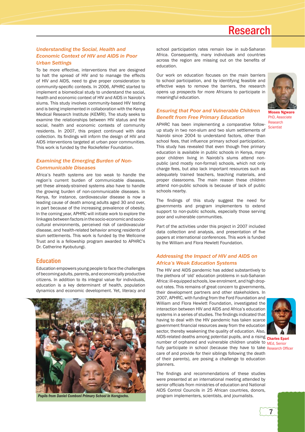#### *Understanding the Social, Health and Economic Context of HIV and AIDS in Poor Urban Settings*

To be more effective, interventions that are designed to halt the spread of HIV and to manage the effects of HIV and AIDS, need to give proper consideration to community-specific contexts. In 2006, APHRC started to implement a biomedical study to understand the social, health and economic context of HIV and AIDS in Nairobi's slums. This study involves community-based HIV testing and is being implemented in collaboration with the Kenya Medical Research Institute (KEMRI). The study seeks to examine the relationships between HIV status and the social, health and economic contexts of community residents. In 2007, this project continued with data collection. Its findings will inform the design of HIV and AIDS interventions targeted at urban poor communities. This work is funded by the Rockefeller Foundation.

#### *Examining the Emerging Burden of Non-Communicable Diseases*

Africa's health systems are too weak to handle the region's current burden of communicable diseases, yet these already-strained systems also have to handle the growing burden of non-communicable diseases. In Kenya, for instance, cardiovascular disease is now a leading cause of death among adults aged 30 and over, in part because of the increasing prevalence of obesity. In the coming year, APHRC will initiate work to explore the linkages between factors in the socio-economic and sociocultural environments, perceived risk of cardiovascular disease, and health-related behavior among residents of slum settlements. This work is funded by the Wellcome Trust and is a fellowship program awarded to APHRC's Dr. Catherine Kyobutungi.

#### Education

Education empowers young people to face the challenges of becoming adults, parents, and economically productive citizens. In addition to its integral value for individuals, education is a key determinant of health, population dynamics and economic development. Yet, literacy and



*Pupils from Daniel Comboni Primary School in Korogocho.*

school participation rates remain low in sub-Saharan Africa. Consequently, many individuals and countries across the region are missing out on the benefits of education.

Our work on education focuses on the main barriers to school participation, and by identifying feasible and effective ways to remove the barriers, the research opens up prospects for more Africans to participate in meaningful education.



Moses Ngware PhD, Associate Research

#### *Ensuring that Poor and Vulnerable Children*  **Benefit from Free Primary Education**

APHRC has been implementing a comparative followup study in two non-slum and two slum settlements of Nairobi since 2004 to understand factors, other than school fees, that influence primary school participation. This study has revealed that even though free primary education is available in public schools in Kenya, many poor children living in Nairobi's slums attend nonpublic (and mostly non-formal) schools, which not only charge fees, but also lack important resources such as adequately trained teachers, teaching materials, and proper classrooms. The main reason these children attend non-public schools is because of lack of public schools nearby. **Scientist** 

The findings of this study suggest the need for governments and program implementers to extend support to non-public schools, especially those serving poor and vulnerable communities.

Part of the activities under this project in 2007 included data collection and analysis, and presentation of five papers at international conferences. This work is funded by the William and Flora Hewlett Foundation.

#### *Addressing the Impact of HIV and AIDS on Africa's Weak Education Systems*

The HIV and AIDS pandemic has added substantively to the plethora of 'old' education problems in sub-Saharan Africa: ill-equipped schools, low enrolment, and high dropout rates. This remains of great concern to governments, their development partners and other stakeholders. In 2007, APHRC, with funding from the Ford Foundation and William and Flora Hewlett Foundation, investigated the interaction between HIV and AIDS and Africa's education systems in a series of studies. The findings indicated that having to deal with the HIV pandemic has taken scarce government financial resources away from the education sector, thereby weakening the quality of education. Also, AIDS-related deaths among potential pupils, and a rising charles Epari number of orphaned and vulnerable children unable to MEd, Senior fully participate in school (because they have to take Research Officer care of and provide for their siblings following the death of their parents), are posing a challenge to education planners.



The findings and recommendations of these studies were presented at an international meeting attended by senior officials from ministries of education and National AIDS Control Councils in 25 African countries, donors, program implementers, scientists, and journalists.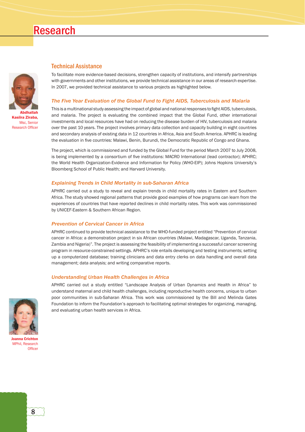

Kasiira Ziraba, Msc, Senior **Research Officer** 

#### Technical Assistance

To facilitate more evidence-based decisions, strengthen capacity of institutions, and intensify partnerships with governments and other institutions, we provide technical assistance in our areas of research expertise. In 2007, we provided technical assistance to various projects as highlighted below.

#### *The Five Year Evaluation of the Global Fund to Fight AIDS, Tuberculosis and Malaria*

This is a multinational study assessing the impact of global and national responses to fight AIDS, tuberculosis, and malaria. The project is evaluating the combined impact that the Global Fund, other international investments and local resources have had on reducing the disease burden of HIV, tuberculosis and malaria over the past 10 years. The project involves primary data collection and capacity building in eight countries and secondary analysis of existing data in 12 countries in Africa, Asia and South America. APHRC is leading the evaluation in five countries: Malawi, Benin, Burundi, the Democratic Republic of Congo and Ghana.

The project, which is commissioned and funded by the Global Fund for the period March 2007 to July 2008, is being implemented by a consortium of five institutions: MACRO International (lead contractor); APHRC; the World Health Organization-Evidence and Information for Policy (WHO-EIP); Johns Hopkins University's Bloomberg School of Public Health; and Harvard University.

#### *Explaining Trends in Child Mortality in sub-Saharan Africa*

APHRC carried out a study to reveal and explain trends in child mortality rates in Eastern and Southern Africa. The study showed regional patterns that provide good examples of how programs can learn from the experiences of countries that have reported declines in child mortality rates. This work was commissioned by UNICEF-Eastern & Southern African Region.

#### *Prevention of Cervical Cancer in Africa*

APHRC continued to provide technical assistance to the WHO-funded project entitled "Prevention of cervical cancer in Africa: a demonstration project in six African countries (Malawi, Madagascar, Uganda, Tanzania, Zambia and Nigeria)". The project is assessing the feasibility of implementing a successful cancer screening program in resource-constrained settings. APHRC's role entails developing and testing instruments; setting up a computerized database; training clinicians and data entry clerks on data handling and overall data management; data analysis; and writing comparative reports.

#### *Understanding Urban Health Challenges in Africa*

APHRC carried out a study entitled "Landscape Analysis of Urban Dynamics and Health in Africa" to understand maternal and child health challenges, including reproductive health concerns, unique to urban poor communities in sub-Saharan Africa. This work was commissioned by the Bill and Melinda Gates Foundation to inform the Foundation's approach to facilitating optimal strategies for organizing, managing, and evaluating urban health services in Africa.



Joanna Crichton MPhil, Research Office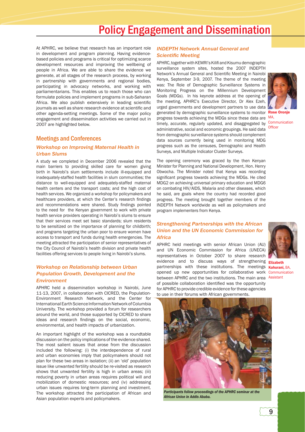### Policy Engagement and Dissemination

At APHRC, we believe that research has an important role in development and program planning. Having evidencebased policies and programs is critical for optimizing scarce development resources and improving the wellbeing of people in Africa. We are able to share the evidence we generate, at all stages of the research process, by working in partnership with governments and regional bodies, participating in advocacy networks, and working with parliamentarians. This enables us to reach those who can formulate policies and implement programs in sub-Saharan Africa. We also publish extensively in leading scientific journals as well as share research evidence at scientific and other agenda-setting meetings. Some of the major policy engagement and dissemination activities we carried out in 2007 are highlighted below.

#### Meetings and Conferences

#### *Workshop on Improving Maternal Health in Urban Slums*

A study we completed in December 2006 revealed that the main barriers to providing skilled care for women giving birth in Nairobi's slum settlements include ill-equipped and inadequately-staffed health facilities in slum communities; the distance to well-equipped and adequately-staffed maternal health centers and the transport costs; and the high cost of health services. We organized a workshop for policymakers and healthcare providers, at which the Center's research findings and recommendations were shared. Study findings pointed to the need for the Kenyan government to work with private health service providers operating in Nairobi's slums to ensure that their services meet set basic standards; slum residents to be sensitized on the importance of planning for childbirth; and programs targeting the urban poor to ensure women have access to transport and funds during health emergencies. The meeting attracted the participation of senior representatives of the City Council of Nairobi's health division and private health facilities offering services to people living in Nairobi's slums.

#### *Workshop on Relationship between Urban Population Growth, Development and the Environment*

APHRC held a dissemination workshop in Nairobi, June 11-13, 2007, in collaboration with CICRED, the Population-Environment Research Network, and the Center for International Earth Science Information Network of Columbia University. The workshop provided a forum for researchers around the world, and those supported by CICRED to share ideas and research findings on the social, economic, environmental, and health impacts of urbanization.

An important highlight of the workshop was a roundtable discussion on the policy implications of the evidence shared. The most salient issues that arose from the discussion included the following: (i) the interdependence of rural and urban economies imply that policymakers should not plan for these two areas in isolation; (ii) an 'old' population issue like unwanted fertility should be re-visited as research shows that unwanted fertility is high in urban areas; (iii) reducing poverty in urban areas requires political will and mobilization of domestic resources; and (iv) addressing urban issues requires long-term planning and investment. The workshop attracted the participation of African and Asian population experts and policymakers.

#### *INDEPTH Network Annual General and*  **Scientific Meeting**

APHRC, together with KEMRI's Kilifi and Kisumu demographic surveillance system sites, hosted the 2007 INDEPTH Network's Annual General and Scientific Meeting in Nairobi Kenya, September 3-9, 2007. The theme of the meeting was: The Role of Demographic Surveillance Systems in Monitoring Progress on the Millennium Development Goals (MDGs). In his keynote address at the opening of the meeting, APHRC's Executive Director, Dr Alex Ezeh, urged governments and development partners to use data generated by demographic surveillance systems to monitor Rose Oronje progress towards achieving the MDGs since these data are MA, timely, accurate, regularly updated, and disaggregated by Communication administrative, social and economic groupings. He said data from demographic surveillance systems should complement data sources currently being used in monitoring MDG progress such as the censuses, Demographic and Health Surveys, and Multiple Indicator Cluster Surveys.



Officer

The opening ceremony was graced by the then Kenyan Minister for Planning and National Development, Hon. Henry Obwocha. The Minister noted that Kenya was recording significant progress towards achieving the MDGs. He cited MDG2 on achieving universal primary education and MDG6 on combating HIV/AIDS, Malaria and other diseases, which he said, are goals where the country had recorded good progress. The meeting brought together members of the INDEPTH Network worldwide as well as policymakers and program implementers from Kenya.

#### *Strengthening Partnerships with the African Union and the UN Economic Commission for Africa*

APHRC held meetings with senior African Union (AU) and UN Economic Commission for Africa (UNECA) representatives in October 2007 to share research evidence and to discuss ways of strengthening **Elizabeth** partnerships with these institutions. The meetings **Kahurani**, BA, opened up new opportunities for collaborative work Communication between APHRC and the two institutions. The main area Assistant of possible collaboration identified was the opportunity for APHRC to provide credible evidence for these agencies to use in their forums with African governments.





*Participants follow proceedings of the APHRC seminar at the African Union in Addis Ababa.*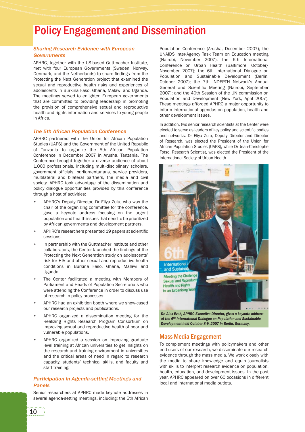### Policy Engagement and Dissemination

#### *Sharing Research Evidence with European Governments*

APHRC, together with the US-based Guttmacher Institute, met with four European Governments (Sweden, Norway, Denmark, and the Netherlands) to share findings from the Protecting the Next Generation project that examined the sexual and reproductive health risks and experiences of adolescents in Burkina Faso, Ghana, Malawi and Uganda. The meetings served to enlighten European governments that are committed to providing leadership in promoting the provision of comprehensive sexual and reproductive health and rights information and services to young people in Africa.

#### *The 5th African Population Conference*

APHRC partnered with the Union for African Population Studies (UAPS) and the Government of the United Republic of Tanzania to organize the 5th African Population Conference in December 2007 in Arusha, Tanzania. The Conference brought together a diverse audience of about 1,000 professionals, including multi-disciplinary scholars, government officials, parliamentarians, service providers, multilateral and bilateral partners, the media and civil society. APHRC took advantage of the dissemination and policy dialogue opportunities provided by this conference through a host of activities:

- APHRC's Deputy Director, Dr Eliya Zulu, who was the chair of the organizing committee for the conference, gave a keynote address focusing on the urgent population and health issues that need to be prioritized by African governments and development partners.
- APHRC's researchers presented 19 papers at scientific sessions.
- In partnership with the Guttmacher Institute and other collaborators, the Center launched the findings of the Protecting the Next Generation study on adolescents' risk for HIV and other sexual and reproductive health conditions in Burkina Faso, Ghana, Malawi and Uganda.
- The Center facilitated a meeting with Members of Parliament and Heads of Population Secretariats who were attending the Conference in order to discuss use of research in policy processes.
- APHRC had an exhibition booth where we show-cased our research projects and publications.
- APHRC organized a dissemination meeting for the Realizing Rights Research Program Consortium on improving sexual and reproductive health of poor and vulnerable populations.
- APHRC organized a session on improving graduate level training at African universities to get insights on the research and training environment in universities and the critical areas of need in regard to research capacity, students' technical skills, and faculty and staff training.

#### *Participation in Agenda-setting Meetings and Panels*

Senior researchers at APHRC made keynote addresses in several agenda-setting meetings, including: the 5th African

Population Conference (Arusha, December 2007); the UNAIDS Inter-Agency Task Team on Education meeting (Nairobi, November 2007); the 6th International Conference on Urban Health (Baltimore, October/ November 2007); the 6th International Dialogue on Population and Sustainable Development (Berlin, October 2007); the 7th INDEPTH Network's Annual General and Scientific Meeting (Nairobi, September 2007); and the 40th Session of the UN commission on Population and Development (New York, April 2007). These meetings afforded APHRC a major opportunity to inform international agendas on population, health and other development issues.

In addition, two senior research scientists at the Center were elected to serve as leaders of key policy and scientific bodies and networks. Dr Eliya Zulu, Deputy Director and Director of Research, was elected the President of the Union for African Population Studies (UAPS), while Dr Jean-Christophe Fotso, Research Scientist, was elected the President of the International Society of Urban Health.



*at the 6th International Dialogue on Population and Sustainable Development held October 8-9, 2007 in Berlin, Germany.*

#### Mass Media Engagement

To complement meetings with policymakers and other end-users of our research, we disseminate our research evidence through the mass media. We work closely with the media to share knowledge and equip journalists with skills to interpret research evidence on population, health, education, and development issues. In the past year, APHRC appeared on over 60 occasions in different local and international media outlets.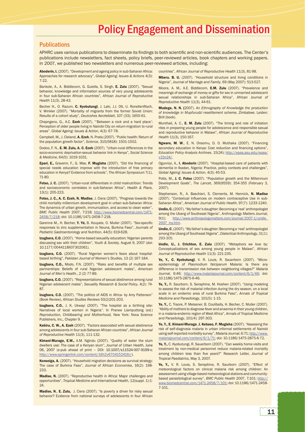### Policy Engagement and Dissemination

#### **Publications**

APHRC uses various publications to disseminate its findings to both scientific and non-scientific audiences. The Center's publications include newsletters, fact sheets, policy briefs, peer-reviewed articles, book chapters and working papers. In 2007, we published two newsletters and numerous peer-reviewed articles, including:

Aboderin, I. (2007). "Development and ageing policy in sub-Saharan Africa: Approaches for research advocacy", *Global Ageing: Issues & Actions* 4(3): 7-22.

Bankole, A., A. Biddlecom, G. Guiella, S. Singh, E. Zulu (2007). "Sexual behavior, knowledge and information sources of very young adolescents in four sub-Saharan African countries", *African Journal of Reproductive Health* 11(3), 28-43.

Becher H., O. Razum, C. Kyobutungi, J. Laki, J.J. Ott, U. Ronellenfitsch, V. Winkler (2007). "Mortality of migrants from the former Soviet Union: Results of a cohort study", *Deutcshes Aerzteblatt*, 107 (33); 1655-61.

Chepngeno, G., A.C. Ezeh (2007). "'Between a rock and a hard place': Perception of older people living in Nairobi City on return-migration to rural areas". *Global Ageing: Issues & Action*, 4(3): 67-78.

Campbell, M., J. Cleland, A. Ezeh, N. Prata (2007). "Public health: Return of the population growth factor", *Science*, 315(5818): 1501-1502.

Dodoo, F. N., E. M. Zulu, A. C. Ezeh (2007). "Urban-rural differences in the socio-economic deprivation-sexual behavior link in Kenya", *Social Science & Medicine*, 64(5): 1019-1031.

Epari, E., Gravenir, F., G. Mse, F. Mugisha (2007). "Did the financing of special needs education improve with the introduction of free primary education in Kenya? Evidence from schools", *The African Symposium* 7(1), 71-80.

Fotso, J. C. (2007). "Urban-rural differentials in child malnutrition: Trends and socioeconomic correlates in sub-Saharan Africa", *Health & Place,*  13(1): 205-223.

Fotso, J. C., A. C. Ezeh, N. Madise, J. Ciera (2007). "Progress towards the child mortality millennium development goal in urban sub-Saharan Africa: The dynamics of urban growth, immunization, and access to clean water", *BMC Public Health* 2007, 7:218; http://www.biomedcentral.com/1471- 2458/7/218; doi: 10.1186/1471-2458-7-218.

Garenne M., H. Becher, Y. Yé, B. Kouyate, O. Muller (2007). "Sex-specific responses to zinc supplementation in Nouna, Burkina Faso", *Journals of Pediatric Gastroentorology and Nutrition*, 44(5): 619-628.

Izugbara, C.O. (2007). "Home-based sexuality education: Nigerian parents discussing sex with their children", *Youth & Society,* August 9, 2007 (doi: 10.1177/0044118X07302061).

Izugbara, C.O. (2007). "Rural Nigerian women's fears about hospitalbased birthing", *Pakistan Journal of Women's Studies,* 13 (2) 167-184.

Izugbara, C.O., Modo, F.N. (2007). "Risks and benefits of multiple sex partnerships: Beliefs of rural Nigerian adolescent males", *American Journal of Men's Health.*, 2 (2) 77-89.

Izugbara, C.O. (2007). "Representations of sexual abstinence among rural Nigerian adolescent males", *Sexuality Research & Social Policy*, 4(2): 74- 87.

Izugbara, C.O. (2007). "The politics of AIDS in Africa- by Amy Patterson" (Book Review), *African Studies Reviews* 50(2)201-203.

Izugbara, C.O., J. K. Ukwayi (2007). "The hospital as a birthing site: Narratives of local women in Nigeria". In Pranee Liamputtong (ed.) *Reproduction, Childbearing and Motherhood*, New York: Nova Science Publishers, Inc., Chapter 9.

Kabiru, C. W., A. Ezeh (2007). "Factors associated with sexual abstinence among adolescents in four sub-Saharan African countries", *African Journal of Reproductive Health* 11(3), 111-132.

Kimani-Murage, E.W., A.M. Ngindu (2007). "Quality of water the slum dwellers use: The case of a Kenyan slum", *Journal of Urban Health,* June 06, 2007 (e-pub ahead of print – DOI: 10.1007/s11524-007-9199-x; http://www.springerlink.com/content/16h2v6704152416r/).

Konseiga, A. (2007). "Household migration decisions as survival strategy: The case of Burkina Faso", *Journal of African Economies*, 16(2): 198- 233.

Madise, N. (2007). "Reproductive health in Africa: Major challenges and opportunities", *Tropical Medicine and International Health*, 12(suppl. 1):1-  $24$ 

Madise, N., E. Zulu, J. Ciera (2007). "Is poverty a driver for risky sexual behavior? Evidence from national surveys of adolescents in four African countries", *African Journal of Reproductive Health* 11(3), 81-98.

Mberu. B. U. (2007). "Household structure and living conditions in Nigeria", *Journal of Marriage and Family*, 69 (May 2007): 513-527.

Moore, A. M., A.E. Biddlecom, E.M. Zulu (2007). "Prevalence and meanings of exchange of money or gifts for sex in unmarried adolescent sexual relationships in sub-Saharan Africa", *African Journal of Reproductive Health* 11(3), 44-61.

Mudege, N. N. (2007). *An Ethnography of Knowledge the production of knowledge in Mupfurudzi resettlement scheme, Zimbabwe*. Leiden: Brill (book).

Munthali, A. C., E. M. Zulu (2007). "The timing and role of initiation rites in preparing young people for adolescence and responsible sexual and reproductive behavior in Malawi", *African Journal of Reproductive Health* 11(3), 150-167.

Ngware, M. W., E. N. Onsomu, D. O. Muthaka (2007). "Financing secondary education in Kenya: Cost reduction and financing options", *Education Policy Analysis Archives*, 15(24); http://epaa.asu.edu/epaa/ v15n24/

Ogunniyi, A., I. Aboderin (2007). "Hospital-based care of patients with dementia in Ibadan, Nigeria: Practice, policy contexts and challenges", *Global Ageing: Issues & Action*, 4(3): 45-53.

Potts, M., J. C. Fotso (2007). "Population growth and the Millennium Development Goals", *The Lancet*, 369(9559): 354-355 (February 3, 2007).

Stephenson, R., A. Baschieri, S. Clements, M. Hennick, N. Madise (2007). "Contextual Influences on modern contraceptive Use in sub-Saharan Africa", *American Journal of Public Health*, 97(7): 1233-1240.

Undie, C. (2007). "My father's daughter: Becoming a 'real' anthropologist among the Ubang of Southeast Nigeria", *Anthropology Matters Journal*, 9(1); http://www.anthropologymatters.com/journal/2007-1/undie 2007\_my.htm.

Undie, C. (2007). "My father's daughter: Becoming a 'real' anthropologist among the Ubang of Southeast Nigeria", *Dialectical Anthropology,* 31(1): 293-305.

Undie, U., J. Crichton, E. Zulu (2007). "Metaphors we love by: Conceptualizations of sex among young people in Malawi", *African Journal of Reproductive Health* 11(3): 221-235.

Ye, Y., C. Kyobutungi, V. R. Louis, R. Sauerborn (2007). "Microepidemiology of *Plasmodium falciparum* Malaria: Is there any difference in transmission risk between neighboring villages?" *Malaria Journal*, 6:46; http://www.malariajournal.com/content/6/1/46; doi: 10.1186/1475-2875-6-46.

Ye, Y., R. Saurborn, S. Seraphine, M. Hoshen (2007). "Using modeling to assess the risk of malarial infection during the dry season, on a local scale in an endemic area of rural Burkina Faso", *Annals of Tropical Medicine and Parasitology*, 101(5): 1-15.

Ye, Y., C. Traore, P. Meissner, B. Coulibally, H. Becher, C. Muller (2007). "Ability of mothers to diagnose fever and anaemia in their young children, in a malaria-endemic region of West Africa", *Annals of Tropical Medicine and Parasitology*, 101(4): 297-303.

Ye, Y., E. Kimani-Murage, J. Kebaso, F. Mugisha (2007). "Assessing the risk of self-diagnosis malaria in urban informal settlements of Nairobi using self-reported morbidity survey", *Malaria Journal*, 6:71; http://www. malariajournal.com/content/6/1/71; doi: 10.1186/1475-2875-6-72.

Ye, Y., C. Kyobutungi, R. Sauerborn (2007). "Can weekly home visits and treatment by non-medical personnel reduce malaria-related mortality among children less than five years?" Research Letter, *Journal* of *Tropical Paediatrics*, May 3, 2007.

Ye, Y., V. R. Louis, S. Seraphine, R. Saurborn (2007). "Effect of meteorological factors on clinical malaria risk among children: An assessment using village-based meteorological stations and communitybased parasitological survey", *BMC Public Health* 2007, 7:101; http:// www.biomedcentral.com/1471-2458/7/101; doi: 10.1186/1471-2458- 7-101.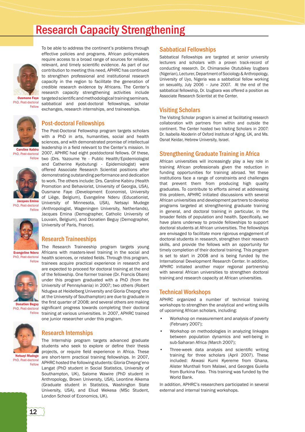### Research Capacity Strengthening

To be able to address the continent's problems through effective policies and programs, African policymakers require access to a broad range of sources for reliable, relevant, and timely scientific evidence. As part of our contribution to meeting this need, APHRC has continued to strengthen professional and institutional research capacity in the region to facilitate the generation of credible research evidence by Africans. The Center's research capacity strengthening activities include

exchanges, research internships, and traineeships.



targeted scientific and methodological training seminars, sabbatical and post-doctoral fellowships, scholar Ousmane Faye PhD, Post-doctoral Fellow



Caroline Kabiru

dues Emin

#### Post-doctoral Fellowships

The Post-Doctoral Fellowship program targets scholars with a PhD in arts, humanities, social and health sciences, and with demonstrated promise of intellectual leadership in a field relevant to the Center's mission. In 2007, APHRC had eight postdoctoral fellows. Of these, two (Drs. Yazoume Ye - Public Health/Epidemiologist and Catherine Kyobutungi - Epidemiologist) were offered Associate Research Scientist positions after demonstrating outstanding performance and dedication to work. The others include: Drs. Caroline Kabiru (Health Promotion and Behaviorist, University of Georgia, USA), Ousmane Faye (Development Economist, University of Liège, Belgium), Evangeline Nderu (Educationist, University of Minnesota, USA), Netsayi Mudege (Anthropologist, Wageningen University, Netherlands), Jacques Emina (Demographer, Catholic University of Louvain, Belgium), and Donatien Beguy (Demographer, University of Paris, France). PhD, Post-doctoral Fellow PhD, Post-doctoral Fellow

#### Research Traineeships

The Research Traineeship program targets young Africans with masters-level training in the social and health sciences, or related fields. Through this program, trainees acquire practical experience in research and Evangeline Nderu

> are expected to proceed for doctoral training at the end of the fellowship. One former trainee (Dr. Francis Obare) under this program graduated with a PhD (from the University of Pennsylvania) in 2007; two others (Robert Ndugwa at Heidelberg University and Gloria Chepng'eno at the University of Southampton) are due to graduate in

> The Internship program targets advanced graduate students who seek to explore or define their thesis

> Langat (PhD student in Social Statistics, University of Southampton, UK), Salome Wawire (PhD student in Anthropology, Brown University, USA), Leontine Alkema (Graduate student in Statistics, Washington State University, USA), and Eliud Wekesa (MSc Student,

one junior researcher under this program.

Research Internships

London School of Economics, UK).



significant progress towards completing their doctoral Fellow training at various universities. In 2007, APHRC trained Donatien Beguy PhD, Post-doctoral



projects, or require field experience in Africa. These are short-term practical training fellowships. In 2007, APHRC hosted the following students: Gloria Chepng'eno Netsayi Mudege PhD, Post-doctoral

Fellow

#### Sabbatical Fellowships

Sabbatical Fellowships are targeted at senior university lecturers and scholars with a proven track-record of conducting research. Dr. Chimaraoke Otutubikey Izugbara (Nigerian), Lecturer, Department of Sociology & Anthropology, University of Uyo, Nigeria was a sabbatical fellow working on sexuality, July 2006 – June 2007. At the end of the sabbatical fellowship, Dr. Izugbara was offered a position as Associate Research Scientist at the Center.

#### Visiting Scholars

The Visiting Scholar program is aimed at facilitating research collaboration with partners from within and outside the continent. The Center hosted two Visiting Scholars in 2007: Dr. Isabella Aboderin of Oxford Institute of Aging, UK, and Ms. Osnat Keidar, Hebrew University, Israel.

#### Strengthening Graduate Training in Africa

African universities will increasingly play a key role in training African professionals given the reduction in funding opportunities for training abroad. Yet these institutions face a range of constraints and challenges that prevent them from producing high quality graduates. To contribute to efforts aimed at addressing this problem, APHRC initiated discussions with several African universities and development partners to develop programs targeted at strengthening graduate training in general, and doctoral training in particular, in the broader fields of population and health. Specifically, we have plans underway to provide fellowships to support doctoral students at African universities. The fellowships are envisaged to facilitate more rigorous engagement of doctoral students in research, strengthen their research skills, and provide the fellows with an opportunity for timely completion of their doctoral training. This program is set to start in 2008 and is being funded by the International Development Research Center. In addition, APHRC initiated another major regional partnership with several African universities to strengthen doctoral training and research capacity at African universities.

#### Technical Workshops

APHRC organized a number of technical training workshops to strengthen the analytical and writing skills of upcoming African scholars, including:

- Workshop on measurement and analysis of poverty (February 2007);
- Workshop on methodologies in analyzing linkages between population dynamics and well-being in sub-Saharan Africa (March 2007);
- Three-week data analysis and scientific writing training for three scholars (April 2007). These included: Akwasi Kumi Kyereme from Ghana, Alister Munthali from Malawi, and Georges Guiella from Burkina Faso. This training was funded by the World Bank.

In addition, APHRC's researchers participated in several external and internal training workshops.

PhD, Post-doctoral **Fellow**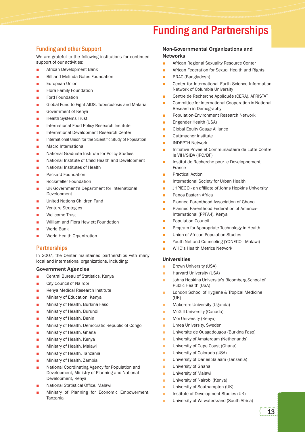## Funding and Partnerships

#### Funding and other Support

We are grateful to the following institutions for continued support of our activities:

- African Development Bank
- Bill and Melinda Gates Foundation
- **European Union**
- Flora Family Foundation
- Ford Foundation
- Global Fund to Fight AIDS, Tuberculosis and Malaria
- Government of Kenya
- Health Systems Trust
- International Food Policy Research Institute
- International Development Research Center
- International Union for the Scientific Study of Population
- Macro International
- National Graduate Institute for Policy Studies
- National Institute of Child Health and Development
- National Institutes of Health
- Packard Foundation
- Rockefeller Foundation
- UK Government's Department for International Development
- United Nations Children Fund
- Venture Strategies
- Wellcome Trust
- William and Flora Hewlett Foundation
- World Bank
- World Health Organization

#### **Partnerships**

In 2007, the Center maintained partnerships with many local and international organizations, including:

#### Government Agencies

- Central Bureau of Statistics, Kenya
- City Council of Nairobi
- Kenya Medical Research Institute
- Ministry of Education, Kenya
- Ministry of Health, Burkina Faso
- Ministry of Health, Burundi
- Ministry of Health, Benin
- Ministry of Health, Democratic Republic of Congo
- Ministry of Health, Ghana
- Ministry of Health, Kenya
- Ministry of Health, Malawi
- Ministry of Health, Tanzania
- Ministry of Health, Zambia
- National Coordinating Agency for Population and Development, Ministry of Planning and National Development, Kenya
- National Statistical Office, Malawi
- Ministry of Planning for Economic Empowerment, Tanzania

#### Non-Governmental Organizations and **Networks**

- African Regional Sexuality Resource Center
- African Federation for Sexual Health and Rights
- BRAC (Bangladesh)
- Center for International Earth Science Information Network of Columbia University
- Centre de Recherche Appliquée (CERA), AFRISTAT
- Committee for International Cooperation in National Research in Demography
- Population-Environment Research Network
- Engender Health (USA)
- **Global Equity Gauge Alliance**
- Guttmacher Institute
- INDEPTH Network
- Initiative Privee et Communautaire de Lutte Contre le VIH/SIDA (IPC/BF)
- Institut de Recherche pour le Developpement, France
- Practical Action
- International Society for Urban Health
- JHPIEGO an affiliate of Johns Hopkins University
- Panos Eastern Africa
- Planned Parenthood Association of Ghana
- Planned Parenthood Federation of America-International (PPFA-I), Kenya
- Population Council
- Program for Appropriate Technology in Health
- Union of African Population Studies
- Youth Net and Counseling (YONECO Malawi)
- WHO's Health Metrics Network

#### Universities

- Brown University (USA)
- Harvard University (USA)
- Johns Hopkins University's Bloomberg School of Public Health (USA)
- London School of Hygiene & Tropical Medicine  $(IIK)$
- Makerere University (Uganda)
- McGill University (Canada)
- Moi University (Kenya)
- Umea University, Sweden
- Universite de Ouagadougou (Burkina Faso)
- University of Amsterdam (Netherlands)
- University of Cape Coast (Ghana)
- University of Colorado (USA)
- University of Dar es Salaam (Tanzania)
- **■** University of Ghana
- University of Malawi
- University of Nairobi (Kenya)
- University of Southampton (UK)
- Institute of Development Studies (UK)
- University of Witwatersrand (South Africa)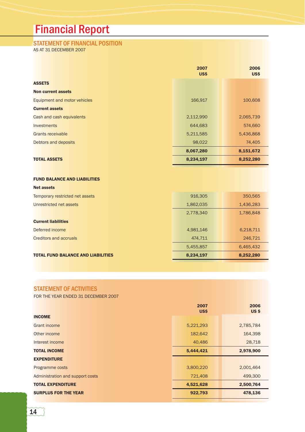## Financial Report

### STATEMENT OF FINANCIAL POSITION

AS AT 31 DECEMBER 2007

|                              | 2007<br><b>US\$</b> | 2006<br>US\$ |
|------------------------------|---------------------|--------------|
| <b>ASSETS</b>                |                     |              |
| <b>Non current assets</b>    |                     |              |
| Equipment and motor vehicles | 166,917             | 100,608      |
| <b>Current assets</b>        |                     |              |
| Cash and cash equivalents    | 2,112,990           | 2,065,739    |
| <b>Investments</b>           | 644,683             | 574,660      |
| Grants receivable            | 5,211,585           | 5,436,868    |
| Debtors and deposits         | 98,022              | 74,405       |
|                              | 8,067,280           | 8,151,672    |
| <b>TOTAL ASSETS</b>          | 8,234,197           | 8,252,280    |

#### FUND BALANCE AND LIABILITIES

| <b>Net assets</b>                         |           |           |
|-------------------------------------------|-----------|-----------|
| Temporary restricted net assets           | 916,305   | 350,565   |
| Unrestricted net assets                   | 1,862,035 | 1,436,283 |
|                                           | 2,778,340 | 1,786,848 |
| <b>Current liabilities</b>                |           |           |
| Deferred income                           | 4,981,146 | 6,218,711 |
| Creditors and accruals                    | 474,711   | 246,721   |
|                                           | 5,455,857 | 6,465,432 |
| <b>TOTAL FUND BALANCE AND LIABILITIES</b> | 8,234,197 | 8,252,280 |
|                                           |           |           |

#### STATEMENT OF ACTIVITIES

FOR THE YEAR ENDED 31 DECEMBER 2007

|                                  | 2007<br><b>US\$</b> | 2006<br>US \$ |
|----------------------------------|---------------------|---------------|
| <b>INCOME</b>                    |                     |               |
| <b>Grant income</b>              | 5,221,293           | 2,785,784     |
| Other income                     | 182,642             | 164,398       |
| Interest income                  | 40,486              | 28,718        |
| <b>TOTAL INCOME</b>              | 5,444,421           | 2,978,900     |
| <b>EXPENDITURE</b>               |                     |               |
| Programme costs                  | 3,800,220           | 2,001,464     |
| Administration and support costs | 721,408             | 499,300       |
| <b>TOTAL EXPENDITURE</b>         | 4,521,628           | 2,500,764     |
| <b>SURPLUS FOR THE YEAR</b>      | 922,793             | 478,136       |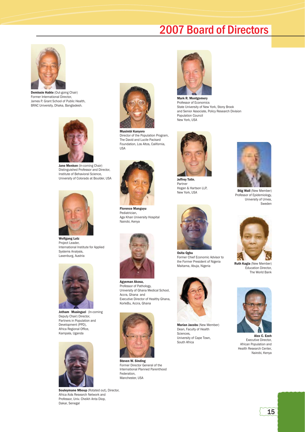### 2007 Board of Directors



Demissie Habte (Out-going Chair) Former International Director, James P. Grant School of Public Health, BRAC University, Dhaka, Bangladesh.



Jane Menken (In-coming Chair) Distinguished Professor and Director, Institute of Behavioral Science, University of Colorado at Boulder, USA



Wolfgang Lutz Project Leader, International Institute for Applied Systems Analysis, Laxenburg, Austria



Jotham Musinguzi (In-coming Deputy Chair) Director, Partners in Population and Development (PPD), Africa Regional Office, Kampala, Uganda



Souleymane Mboup (Rotated out), Director, Africa Aids Research Network and Professor, Univ. Cheikh Anta Diop, Dakar, Senegal



Director of the Population Program, The David and Lucile Packard Foundation, Los Altos, California, USA



Florence Manguyu Pediatrician, Aga Khan University Hospital Nairobi, Kenya



Agyeman Akosa, Professor of Pathology, University of Ghana Medical School, Accra, Ghana and Executive Director of Healthy Ghana, KorleBu, Accra, Ghana



Steven W. Sinding Former Director General of the International Planned Parenthood Federation, Manchester, USA



Mark R. Montgomery Professor of Economics State University of New York, Stony Brook and Senior Associate, Policy Research Division Population Council New York, USA



Jeffrey Tolin, Partner Hogan & Hartson LLP, New York, USA



Osita Ogbu Former Chief Economic Advisor to the Former President of Nigeria Maitama, Abuja, Nigeria



Marian Jacobs (New Member) Dean, Faculty of Health Sciences, University of Cape Town, South Africa



**Stig Wall (New Member)** Professor of Epidemiology, University of Umea, Sweden



Ruth Kagia (New Member) Education Director, The World Bank



Alex C. Ezeh Executive Director, African Population and Health Research Center, Nairobi, Kenya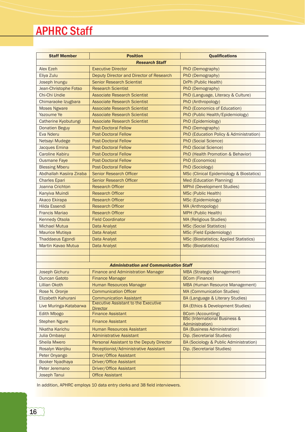## APHRC Staff

| <b>Staff Member</b>       | <b>Position</b>                                                               | <b>Qualifications</b>                                       |  |
|---------------------------|-------------------------------------------------------------------------------|-------------------------------------------------------------|--|
| <b>Research Staff</b>     |                                                                               |                                                             |  |
| <b>Alex Ezeh</b>          | <b>Executive Director</b>                                                     | PhD (Demography)                                            |  |
| Eliya Zulu                | Deputy Director and Director of Research                                      | PhD (Demography)                                            |  |
| Joseph Inungu             | <b>Senior Research Scientist</b>                                              | DrPh (Public Health)                                        |  |
| Jean-Christophe Fotso     | <b>Research Scientist</b>                                                     | PhD (Demography)                                            |  |
| Chi-Chi Undie             | <b>Associate Research Scientist</b>                                           | PhD (Language, Literacy & Culture)                          |  |
| Chimaraoke Izugbara       | <b>Associate Research Scientist</b>                                           | PhD (Anthropology)                                          |  |
| <b>Moses Ngware</b>       | <b>Associate Research Scientist</b>                                           | PhD (Economics of Education)                                |  |
| <b>Yazoume Ye</b>         | <b>Associate Research Scientist</b>                                           | PhD (Public Health/Epidemiology)                            |  |
| Catherine Kyobutungi      | <b>Associate Research Scientist</b>                                           | PhD (Epidemiology)                                          |  |
| <b>Donatien Beguy</b>     | <b>Post-Doctoral Fellow</b>                                                   | PhD (Demography)                                            |  |
| <b>Eva Nderu</b>          | <b>Post-Doctoral Fellow</b>                                                   | PhD (Education Policy & Administration)                     |  |
| <b>Netsayi Mudege</b>     | <b>Post-Doctoral Fellow</b>                                                   | <b>PhD (Social Science)</b>                                 |  |
| Jacques Emina             | <b>Post-Doctoral Fellow</b>                                                   | <b>PhD (Social Science)</b>                                 |  |
| <b>Caroline Kabiru</b>    | <b>Post-Doctoral Fellow</b>                                                   | PhD (Health Promotion & Behavior)                           |  |
| <b>Ousmane Faye</b>       | <b>Post-Doctoral Fellow</b>                                                   | PhD (Economics)                                             |  |
| <b>Blessing Mberu</b>     | <b>Post-Doctoral Fellow</b>                                                   | PhD (Sociology)                                             |  |
| Abdhallah Kasiira Ziraba  | <b>Senior Research Officer</b>                                                | <b>MSc (Clinical Epidemiology &amp; Biostatics)</b>         |  |
| <b>Charles Epari</b>      | <b>Senior Research Officer</b>                                                | Med (Education Planning)                                    |  |
| Joanna Crichton           | <b>Research Officer</b>                                                       | <b>MPhil (Development Studies)</b>                          |  |
| Kanyiva Muindi            | <b>Research Officer</b>                                                       | <b>MSc (Public Health)</b>                                  |  |
| <b>Akaco Ekirapa</b>      | <b>Research Officer</b>                                                       | MSc (Epidemiology)                                          |  |
| <b>Hilda Essendi</b>      | <b>Research Officer</b>                                                       | MA (Anthropology)                                           |  |
| <b>Francis Mariao</b>     | <b>Research Officer</b>                                                       | MPH (Public Health)                                         |  |
| <b>Kennedy Otsola</b>     | <b>Field Coordinator</b>                                                      | <b>MA (Religious Studies)</b>                               |  |
| <b>Michael Mutua</b>      | Data Analyst                                                                  | <b>MSc (Social Statistics)</b>                              |  |
| <b>Maurice Mutisya</b>    | Data Analyst                                                                  | MSc (Field Epidemiology)                                    |  |
| <b>Thaddaeus Egondi</b>   | Data Analyst                                                                  | <b>MSc (Biostatistics; Applied Statistics)</b>              |  |
| <b>Martin Kavao Mutua</b> | Data Analyst                                                                  | <b>MSc (Biostatistics)</b>                                  |  |
|                           |                                                                               |                                                             |  |
|                           |                                                                               |                                                             |  |
|                           | <b>Administration and Communication Staff</b>                                 |                                                             |  |
| <b>Joseph Gichuru</b>     | <b>Finance and Administration Manager</b>                                     | <b>MBA (Strategic Management)</b>                           |  |
| <b>Duncan Gatoto</b>      | <b>Finance Manager</b>                                                        | <b>BCom (Finance)</b>                                       |  |
| <b>Lillian Okoth</b>      | Human Resources Manager                                                       | <b>MBA (Human Resource Management)</b>                      |  |
| Rose N. Oronje            | <b>Communication Officer</b>                                                  | <b>MA (Communication Studies)</b>                           |  |
| Elizabeth Kahurani        | <b>Communication Assistant</b><br><b>Executive Assistant to the Executive</b> | BA (Language & Literary Studies)                            |  |
| Live Muringa-Katabarwa    | <b>Director</b>                                                               | BA (Ethics & Development Studies)                           |  |
| <b>Edith Mbogo</b>        | <b>Finance Assistant</b>                                                      | <b>BCom (Accounting)</b>                                    |  |
| <b>Stephen Ngure</b>      | <b>Finance Assistant</b>                                                      | <b>BSc (International Business &amp;</b><br>Administration) |  |
| Nkatha Karichu            | <b>Human Resources Assistant</b>                                              | <b>BA (Business Administration)</b>                         |  |
| Julia Ombasyi             | <b>Administrative Assistant</b>                                               | Dip. (Secretarial Studies)                                  |  |
| <b>Sheila Mwero</b>       | Personal Assistant to the Deputy Director                                     | BA (Sociology & Public Administration)                      |  |
| Rosalyn Wanjiku           | Receptionist/Administrative Assistant                                         | Dip. (Secretarial Studies)                                  |  |
| Peter Onyango             | Driver/Office Assistant                                                       |                                                             |  |
| <b>Booker Nyadhaya</b>    |                                                                               |                                                             |  |
| Peter Jeremano            | Driver/Office Assistant                                                       |                                                             |  |
|                           | Driver/Office Assistant                                                       |                                                             |  |

In addition, APHRC employs 10 data entry clerks and 38 field interviewers.